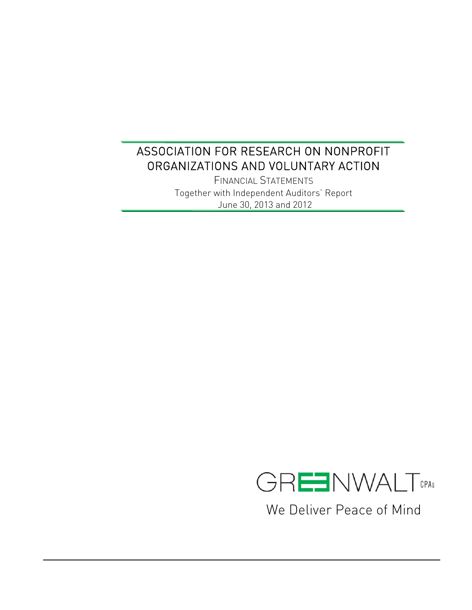FINANCIAL STATEMENTS Together with Independent Auditors' Report June 30, 2013 and 2012



We Deliver Peace of Mind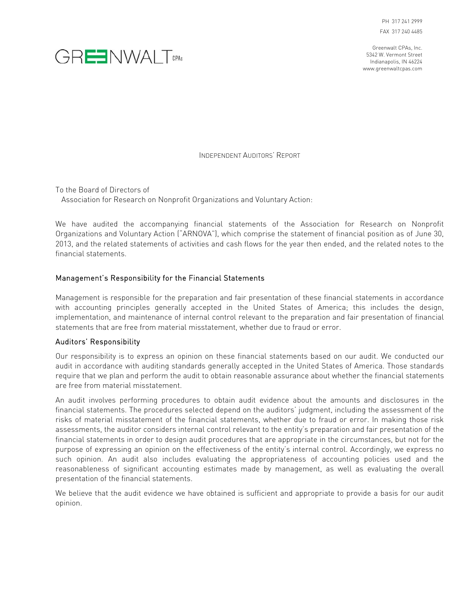



INDEPENDENT AUDITORS' REPORT

To the Board of Directors of Association for Research on Nonprofit Organizations and Voluntary Action:

We have audited the accompanying financial statements of the Association for Research on Nonprofit Organizations and Voluntary Action ("ARNOVA"), which comprise the statement of financial position as of June 30, 2013, and the related statements of activities and cash flows for the year then ended, and the related notes to the financial statements.

### Management's Responsibility for the Financial Statements

Management is responsible for the preparation and fair presentation of these financial statements in accordance with accounting principles generally accepted in the United States of America; this includes the design, implementation, and maintenance of internal control relevant to the preparation and fair presentation of financial statements that are free from material misstatement, whether due to fraud or error.

### Auditors' Responsibility

Our responsibility is to express an opinion on these financial statements based on our audit. We conducted our audit in accordance with auditing standards generally accepted in the United States of America. Those standards require that we plan and perform the audit to obtain reasonable assurance about whether the financial statements are free from material misstatement.

An audit involves performing procedures to obtain audit evidence about the amounts and disclosures in the financial statements. The procedures selected depend on the auditors' judgment, including the assessment of the risks of material misstatement of the financial statements, whether due to fraud or error. In making those risk assessments, the auditor considers internal control relevant to the entity's preparation and fair presentation of the financial statements in order to design audit procedures that are appropriate in the circumstances, but not for the purpose of expressing an opinion on the effectiveness of the entity's internal control. Accordingly, we express no such opinion. An audit also includes evaluating the appropriateness of accounting policies used and the reasonableness of significant accounting estimates made by management, as well as evaluating the overall presentation of the financial statements.

We believe that the audit evidence we have obtained is sufficient and appropriate to provide a basis for our audit opinion.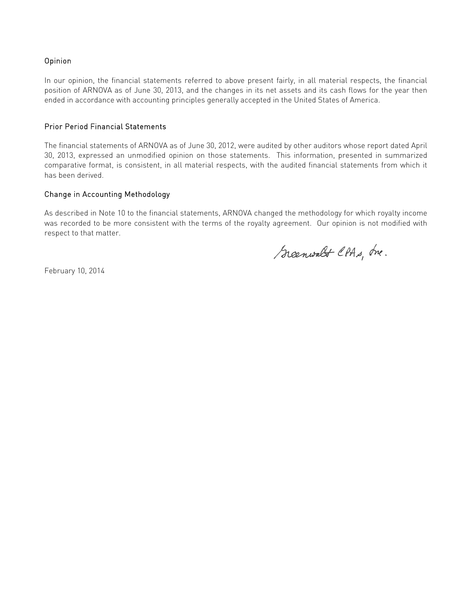### Opinion

In our opinion, the financial statements referred to above present fairly, in all material respects, the financial position of ARNOVA as of June 30, 2013, and the changes in its net assets and its cash flows for the year then ended in accordance with accounting principles generally accepted in the United States of America.

### Prior Period Financial Statements

The financial statements of ARNOVA as of June 30, 2012, were audited by other auditors whose report dated April 30, 2013, expressed an unmodified opinion on those statements. This information, presented in summarized comparative format, is consistent, in all material respects, with the audited financial statements from which it has been derived.

### Change in Accounting Methodology

As described in Note 10 to the financial statements, ARNOVA changed the methodology for which royalty income was recorded to be more consistent with the terms of the royalty agreement. Our opinion is not modified with respect to that matter.

Scenwalt CPAs, Inc.

February 10, 2014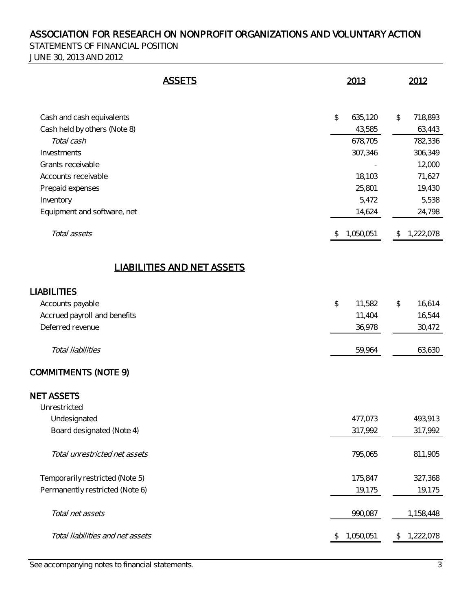STATEMENTS OF FINANCIAL POSITION

JUNE 30, 2013 AND 2012

| <b>ASSETS</b>                     | 2013                       | 2012                      |
|-----------------------------------|----------------------------|---------------------------|
| Cash and cash equivalents         | \$<br>635,120              | $\updownarrow$<br>718,893 |
| Cash held by others (Note 8)      | 43,585                     | 63,443                    |
| Total cash                        | 678,705                    | 782,336                   |
| Investments                       | 307,346                    | 306,349                   |
| Grants receivable                 |                            | 12,000                    |
| Accounts receivable               | 18,103                     | 71,627                    |
| Prepaid expenses                  | 25,801                     | 19,430                    |
| Inventory                         | 5,472                      | 5,538                     |
| Equipment and software, net       | 14,624                     | 24,798                    |
| Total assets                      | 1,050,051<br>$\frac{1}{2}$ | 1,222,078<br>\$           |
| <b>LIABILITIES AND NET ASSETS</b> |                            |                           |
| <b>LIABILITIES</b>                |                            |                           |
| Accounts payable                  | \$<br>11,582               | \$<br>16,614              |
| Accrued payroll and benefits      | 11,404                     | 16,544                    |
| Deferred revenue                  | 36,978                     | 30,472                    |
| Total liabilities                 | 59,964                     | 63,630                    |
| <b>COMMITMENTS (NOTE 9)</b>       |                            |                           |
| <b>NET ASSETS</b>                 |                            |                           |
| Unrestricted                      |                            |                           |
| Undesignated                      | 477,073                    | 493,913                   |
| Board designated (Note 4)         | 317,992                    | 317,992                   |
| Total unrestricted net assets     | 795,065                    | 811,905                   |
| Temporarily restricted (Note 5)   | 175,847                    | 327,368                   |
| Permanently restricted (Note 6)   | 19,175                     | 19,175                    |
| Total net assets                  | 990,087                    | 1,158,448                 |
| Total liabilities and net assets  | 1,050,051<br>$\mathcal{R}$ | 1,222,078<br>P.           |
|                                   |                            |                           |

See accompanying notes to financial statements. 3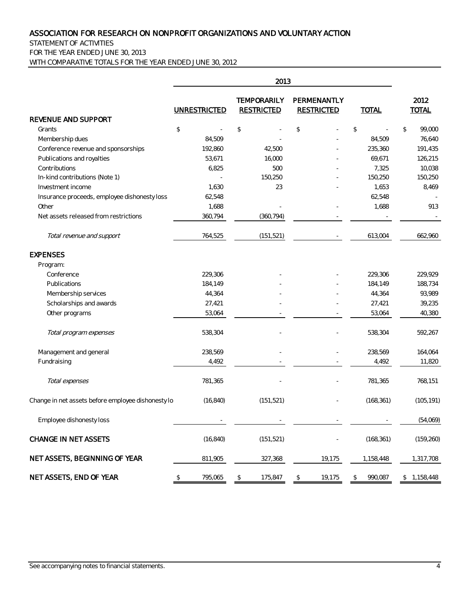STATEMENT OF ACTIVITIES

FOR THE YEAR ENDED JUNE 30, 2013

WITH COMPARATIVE TOTALS FOR THE YEAR ENDED JUNE 30, 2012

|                                                    | 2013                |           |                                         |            |                                  |        |              |            |                      |             |
|----------------------------------------------------|---------------------|-----------|-----------------------------------------|------------|----------------------------------|--------|--------------|------------|----------------------|-------------|
|                                                    | <b>UNRESTRICTED</b> |           | <b>TEMPORARILY</b><br><b>RESTRICTED</b> |            | PERMENANTLY<br><b>RESTRICTED</b> |        | <b>TOTAL</b> |            | 2012<br><b>TOTAL</b> |             |
| REVENUE AND SUPPORT                                |                     |           |                                         |            |                                  |        |              |            |                      |             |
| Grants                                             | $\updownarrow$      |           | \$                                      |            | \$                               |        | \$           |            | \$                   | 99,000      |
| Membership dues                                    |                     | 84,509    |                                         |            |                                  |        |              | 84,509     |                      | 76,640      |
| Conference revenue and sponsorships                |                     | 192,860   |                                         | 42,500     |                                  |        |              | 235,360    |                      | 191,435     |
| Publications and royalties                         |                     | 53,671    |                                         | 16,000     |                                  |        |              | 69,671     |                      | 126,215     |
| Contributions                                      |                     | 6,825     |                                         | 500        |                                  |        |              | 7,325      |                      | 10,038      |
| In-kind contributions (Note 1)                     |                     |           |                                         | 150,250    |                                  |        |              | 150,250    |                      | 150,250     |
| Investment income                                  |                     | 1,630     |                                         | 23         |                                  |        |              | 1,653      |                      | 8,469       |
| Insurance proceeds, employee dishonesty loss       |                     | 62,548    |                                         |            |                                  |        |              | 62,548     |                      |             |
| Other                                              |                     | 1,688     |                                         |            |                                  |        |              | 1,688      |                      | 913         |
| Net assets released from restrictions              |                     | 360,794   |                                         | (360, 794) |                                  |        |              |            |                      |             |
| Total revenue and support                          |                     | 764,525   |                                         | (151, 521) |                                  |        |              | 613,004    |                      | 662,960     |
| <b>EXPENSES</b>                                    |                     |           |                                         |            |                                  |        |              |            |                      |             |
| Program:                                           |                     |           |                                         |            |                                  |        |              |            |                      |             |
| Conference                                         |                     | 229,306   |                                         |            |                                  |        |              | 229,306    |                      | 229,929     |
| Publications                                       |                     | 184,149   |                                         |            |                                  |        |              | 184,149    |                      | 188,734     |
| Membership services                                |                     | 44,364    |                                         |            |                                  |        |              | 44,364     |                      | 93,989      |
| Scholarships and awards                            |                     | 27,421    |                                         |            |                                  |        |              | 27,421     |                      | 39,235      |
| Other programs                                     |                     | 53,064    |                                         |            |                                  |        |              | 53,064     |                      | 40,380      |
| Total program expenses                             |                     | 538,304   |                                         |            |                                  |        |              | 538,304    |                      | 592,267     |
| Management and general                             |                     | 238,569   |                                         |            |                                  |        |              | 238,569    |                      | 164,064     |
| Fundraising                                        |                     | 4,492     |                                         |            |                                  |        |              | 4,492      |                      | 11,820      |
| Total expenses                                     |                     | 781,365   |                                         |            |                                  |        |              | 781,365    |                      | 768,151     |
| Change in net assets before employee dishonesty lo |                     | (16, 840) |                                         | (151, 521) |                                  |        |              | (168, 361) |                      | (105, 191)  |
| Employee dishonesty loss                           |                     |           |                                         |            |                                  |        |              |            |                      | (54,069)    |
| CHANGE IN NET ASSETS                               |                     | (16, 840) |                                         | (151, 521) |                                  |        |              | (168, 361) |                      | (159, 260)  |
| NET ASSETS, BEGINNING OF YEAR                      |                     | 811,905   |                                         | 327,368    |                                  | 19,175 |              | 1,158,448  |                      | 1,317,708   |
| NET ASSETS, END OF YEAR                            | \$                  | 795,065   | \$                                      | 175,847    | \$                               | 19,175 | \$           | 990,087    |                      | \$1,158,448 |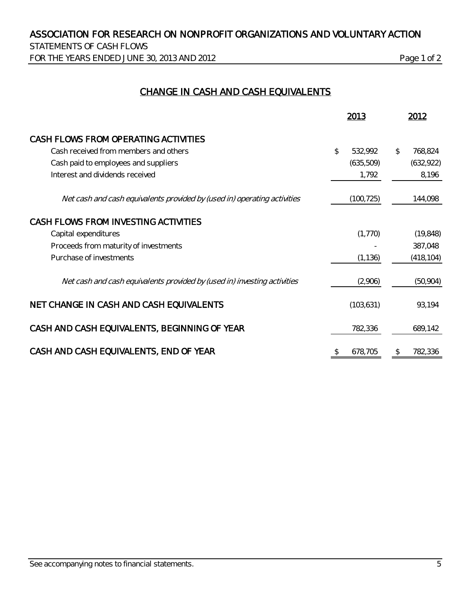STATEMENTS OF CASH FLOWS FOR THE YEARS ENDED JUNE 30, 2013 AND 2012 **Page 1** of 2

# CHANGE IN CASH AND CASH EQUIVALENTS

|                                                                          |               | 2013       | 2012          |
|--------------------------------------------------------------------------|---------------|------------|---------------|
| CASH FLOWS FROM OPERATING ACTIVITIES                                     |               |            |               |
| Cash received from members and others                                    | $\mathcal{L}$ | 532,992    | \$<br>768,824 |
| Cash paid to employees and suppliers                                     |               | (635,509)  | (632, 922)    |
| Interest and dividends received                                          |               | 1,792      | 8,196         |
| Net cash and cash equivalents provided by (used in) operating activities |               | (100, 725) | 144,098       |
| CASH FLOWS FROM INVESTING ACTIVITIES                                     |               |            |               |
| Capital expenditures                                                     |               | (1,770)    | (19, 848)     |
| Proceeds from maturity of investments                                    |               |            | 387,048       |
| Purchase of investments                                                  |               | (1, 136)   | (418, 104)    |
| Net cash and cash equivalents provided by (used in) investing activities |               | (2,906)    | (50, 904)     |
| NET CHANGE IN CASH AND CASH EQUIVALENTS                                  |               | (103, 631) | 93,194        |
| CASH AND CASH EQUIVALENTS, BEGINNING OF YEAR                             |               | 782,336    | 689,142       |
| CASH AND CASH EQUIVALENTS, END OF YEAR                                   | \$            | 678,705    | \$<br>782,336 |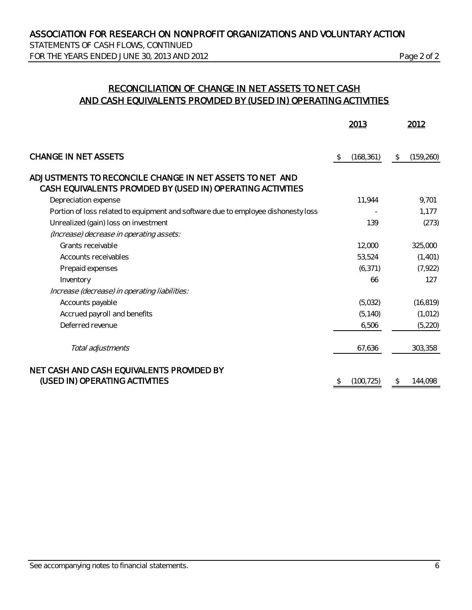STATEMENTS OF CASH FLOWS, CONTINUED FOR THE YEARS ENDED JUNE 30, 2013 AND 2012 Page 2 of 2

# RECONCILIATION OF CHANGE IN NET ASSETS TO NET CASH AND CASH EQUIVALENTS PROVIDED BY (USED IN) OPERATING ACTIVITIES

| <b>CHANGE IN NET ASSETS</b><br>(168, 361)<br>(159, 260)<br>\$<br>\$<br>ADJUSTMENTS TO RECONCILE CHANGE IN NET ASSETS TO NET AND<br>CASH EQUIVALENTS PROVIDED BY (USED IN) OPERATING ACTIVITIES<br>9,701<br>Depreciation expense<br>11,944<br>1,177<br>Portion of loss related to equipment and software due to employee dishonesty loss<br>Unrealized (gain) loss on investment<br>139<br>(273)<br>(Increase) decrease in operating assets:<br>Grants receivable<br>325,000<br>12,000<br>(1, 401)<br>Accounts receivables<br>53,524<br>(6, 371)<br>(7, 922)<br>Prepaid expenses<br>127<br>Inventory<br>66<br>Increase (decrease) in operating liabilities:<br>Accounts payable<br>(5,032)<br>(16, 819)<br>Accrued payroll and benefits<br>(5, 140)<br>(1, 012)<br>Deferred revenue<br>6,506<br>(5, 220)<br>Total adjustments<br>67,636<br>303,358<br>NET CASH AND CASH EQUIVALENTS PROVIDED BY<br>(USED IN) OPERATING ACTIVITIES<br>(100, 725)<br>144,098<br>£. |  | 2013 | 2012 |
|-----------------------------------------------------------------------------------------------------------------------------------------------------------------------------------------------------------------------------------------------------------------------------------------------------------------------------------------------------------------------------------------------------------------------------------------------------------------------------------------------------------------------------------------------------------------------------------------------------------------------------------------------------------------------------------------------------------------------------------------------------------------------------------------------------------------------------------------------------------------------------------------------------------------------------------------------------------------|--|------|------|
|                                                                                                                                                                                                                                                                                                                                                                                                                                                                                                                                                                                                                                                                                                                                                                                                                                                                                                                                                                 |  |      |      |
|                                                                                                                                                                                                                                                                                                                                                                                                                                                                                                                                                                                                                                                                                                                                                                                                                                                                                                                                                                 |  |      |      |
|                                                                                                                                                                                                                                                                                                                                                                                                                                                                                                                                                                                                                                                                                                                                                                                                                                                                                                                                                                 |  |      |      |
|                                                                                                                                                                                                                                                                                                                                                                                                                                                                                                                                                                                                                                                                                                                                                                                                                                                                                                                                                                 |  |      |      |
|                                                                                                                                                                                                                                                                                                                                                                                                                                                                                                                                                                                                                                                                                                                                                                                                                                                                                                                                                                 |  |      |      |
|                                                                                                                                                                                                                                                                                                                                                                                                                                                                                                                                                                                                                                                                                                                                                                                                                                                                                                                                                                 |  |      |      |
|                                                                                                                                                                                                                                                                                                                                                                                                                                                                                                                                                                                                                                                                                                                                                                                                                                                                                                                                                                 |  |      |      |
|                                                                                                                                                                                                                                                                                                                                                                                                                                                                                                                                                                                                                                                                                                                                                                                                                                                                                                                                                                 |  |      |      |
|                                                                                                                                                                                                                                                                                                                                                                                                                                                                                                                                                                                                                                                                                                                                                                                                                                                                                                                                                                 |  |      |      |
|                                                                                                                                                                                                                                                                                                                                                                                                                                                                                                                                                                                                                                                                                                                                                                                                                                                                                                                                                                 |  |      |      |
|                                                                                                                                                                                                                                                                                                                                                                                                                                                                                                                                                                                                                                                                                                                                                                                                                                                                                                                                                                 |  |      |      |
|                                                                                                                                                                                                                                                                                                                                                                                                                                                                                                                                                                                                                                                                                                                                                                                                                                                                                                                                                                 |  |      |      |
|                                                                                                                                                                                                                                                                                                                                                                                                                                                                                                                                                                                                                                                                                                                                                                                                                                                                                                                                                                 |  |      |      |
|                                                                                                                                                                                                                                                                                                                                                                                                                                                                                                                                                                                                                                                                                                                                                                                                                                                                                                                                                                 |  |      |      |
|                                                                                                                                                                                                                                                                                                                                                                                                                                                                                                                                                                                                                                                                                                                                                                                                                                                                                                                                                                 |  |      |      |
|                                                                                                                                                                                                                                                                                                                                                                                                                                                                                                                                                                                                                                                                                                                                                                                                                                                                                                                                                                 |  |      |      |
|                                                                                                                                                                                                                                                                                                                                                                                                                                                                                                                                                                                                                                                                                                                                                                                                                                                                                                                                                                 |  |      |      |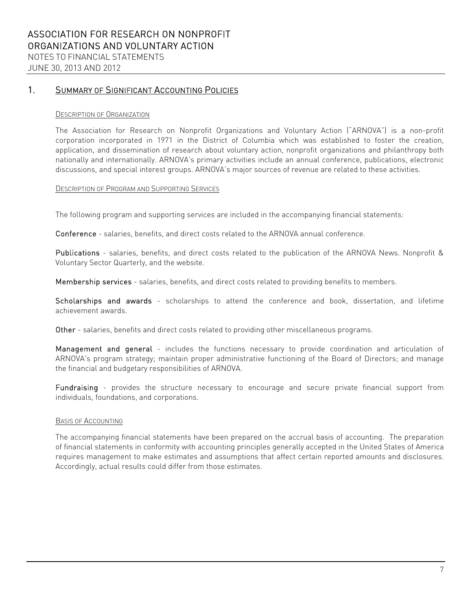### 1. SUMMARY OF SIGNIFICANT ACCOUNTING POLICIES

#### DESCRIPTION OF ORGANIZATION

The Association for Research on Nonprofit Organizations and Voluntary Action ("ARNOVA") is a non-profit corporation incorporated in 1971 in the District of Columbia which was established to foster the creation, application, and dissemination of research about voluntary action, nonprofit organizations and philanthropy both nationally and internationally. ARNOVA's primary activities include an annual conference, publications, electronic discussions, and special interest groups. ARNOVA's major sources of revenue are related to these activities.

#### DESCRIPTION OF PROGRAM AND SUPPORTING SERVICES

The following program and supporting services are included in the accompanying financial statements:

Conference - salaries, benefits, and direct costs related to the ARNOVA annual conference.

Publications - salaries, benefits, and direct costs related to the publication of the ARNOVA News. Nonprofit & Voluntary Sector Quarterly, and the website.

Membership services - salaries, benefits, and direct costs related to providing benefits to members.

Scholarships and awards - scholarships to attend the conference and book, dissertation, and lifetime achievement awards.

Other - salaries, benefits and direct costs related to providing other miscellaneous programs.

Management and general - includes the functions necessary to provide coordination and articulation of ARNOVA's program strategy; maintain proper administrative functioning of the Board of Directors; and manage the financial and budgetary responsibilities of ARNOVA.

Fundraising - provides the structure necessary to encourage and secure private financial support from individuals, foundations, and corporations.

### BASIS OF ACCOUNTING

The accompanying financial statements have been prepared on the accrual basis of accounting. The preparation of financial statements in conformity with accounting principles generally accepted in the United States of America requires management to make estimates and assumptions that affect certain reported amounts and disclosures. Accordingly, actual results could differ from those estimates.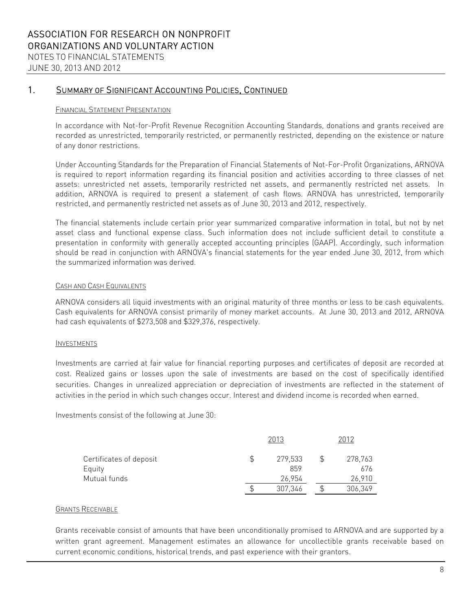### 1. SUMMARY OF SIGNIFICANT ACCOUNTING POLICIES, CONTINUED

#### FINANCIAL STATEMENT PRESENTATION

In accordance with Not-for-Profit Revenue Recognition Accounting Standards, donations and grants received are recorded as unrestricted, temporarily restricted, or permanently restricted, depending on the existence or nature of any donor restrictions.

Under Accounting Standards for the Preparation of Financial Statements of Not-For-Profit Organizations, ARNOVA is required to report information regarding its financial position and activities according to three classes of net assets: unrestricted net assets, temporarily restricted net assets, and permanently restricted net assets. In addition, ARNOVA is required to present a statement of cash flows. ARNOVA has unrestricted, temporarily restricted, and permanently restricted net assets as of June 30, 2013 and 2012, respectively.

The financial statements include certain prior year summarized comparative information in total, but not by net asset class and functional expense class. Such information does not include sufficient detail to constitute a presentation in conformity with generally accepted accounting principles (GAAP). Accordingly, such information should be read in conjunction with ARNOVA's financial statements for the year ended June 30, 2012, from which the summarized information was derived.

### CASH AND CASH EQUIVALENTS

ARNOVA considers all liquid investments with an original maturity of three months or less to be cash equivalents. Cash equivalents for ARNOVA consist primarily of money market accounts. At June 30, 2013 and 2012, ARNOVA had cash equivalents of \$273,508 and \$329,376, respectively.

### INVESTMENTS

Investments are carried at fair value for financial reporting purposes and certificates of deposit are recorded at cost. Realized gains or losses upon the sale of investments are based on the cost of specifically identified securities. Changes in unrealized appreciation or depreciation of investments are reflected in the statement of activities in the period in which such changes occur. Interest and dividend income is recorded when earned.

Investments consist of the following at June 30:

|                                   | 2013 |                |  | 2012           |  |  |
|-----------------------------------|------|----------------|--|----------------|--|--|
| Certificates of deposit<br>Equity |      | 279,533<br>859 |  | 278,763<br>676 |  |  |
| Mutual funds                      |      | 26,954         |  | 26,910         |  |  |
|                                   |      | 307,346        |  | 306,349        |  |  |

#### GRANTS RECEIVABLE

Grants receivable consist of amounts that have been unconditionally promised to ARNOVA and are supported by a written grant agreement. Management estimates an allowance for uncollectible grants receivable based on current economic conditions, historical trends, and past experience with their grantors.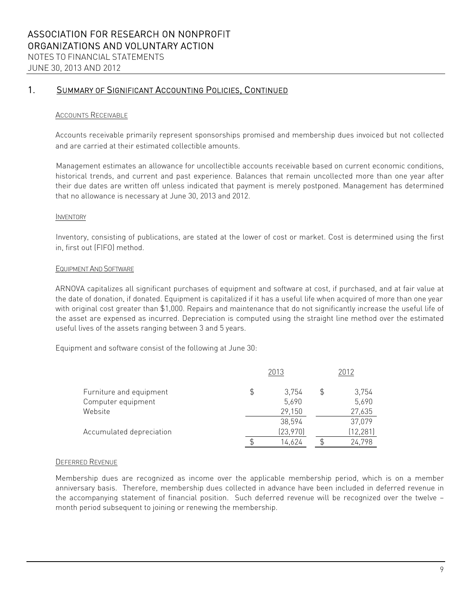### 1. SUMMARY OF SIGNIFICANT ACCOUNTING POLICIES, CONTINUED

#### ACCOUNTS RECEIVABLE

Accounts receivable primarily represent sponsorships promised and membership dues invoiced but not collected and are carried at their estimated collectible amounts.

Management estimates an allowance for uncollectible accounts receivable based on current economic conditions, historical trends, and current and past experience. Balances that remain uncollected more than one year after their due dates are written off unless indicated that payment is merely postponed. Management has determined that no allowance is necessary at June 30, 2013 and 2012.

#### INVENTORY

Inventory, consisting of publications, are stated at the lower of cost or market. Cost is determined using the first in, first out (FIFO) method.

#### EQUIPMENT AND SOFTWARE

ARNOVA capitalizes all significant purchases of equipment and software at cost, if purchased, and at fair value at the date of donation, if donated. Equipment is capitalized if it has a useful life when acquired of more than one year with original cost greater than \$1,000. Repairs and maintenance that do not significantly increase the useful life of the asset are expensed as incurred. Depreciation is computed using the straight line method over the estimated useful lives of the assets ranging between 3 and 5 years.

Equipment and software consist of the following at June 30:

|                          | 2013 |           |  | 2012      |
|--------------------------|------|-----------|--|-----------|
| Furniture and equipment  | S    | 3,754     |  | 3,754     |
| Computer equipment       |      | 5,690     |  | 5,690     |
| Website                  |      | 29,150    |  | 27,635    |
|                          |      | 38,594    |  | 37,079    |
| Accumulated depreciation |      | (23, 970) |  | (12, 281) |
|                          |      | 14,624    |  | 24,798    |

#### DEFERRED REVENUE

Membership dues are recognized as income over the applicable membership period, which is on a member anniversary basis. Therefore, membership dues collected in advance have been included in deferred revenue in the accompanying statement of financial position. Such deferred revenue will be recognized over the twelve – month period subsequent to joining or renewing the membership.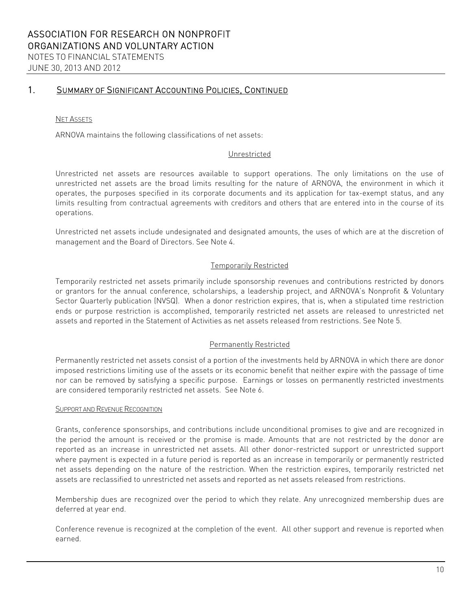### 1. SUMMARY OF SIGNIFICANT ACCOUNTING POLICIES, CONTINUED

#### NET ASSETS

ARNOVA maintains the following classifications of net assets:

#### Unrestricted

Unrestricted net assets are resources available to support operations. The only limitations on the use of unrestricted net assets are the broad limits resulting for the nature of ARNOVA, the environment in which it operates, the purposes specified in its corporate documents and its application for tax-exempt status, and any limits resulting from contractual agreements with creditors and others that are entered into in the course of its operations.

Unrestricted net assets include undesignated and designated amounts, the uses of which are at the discretion of management and the Board of Directors. See Note 4.

#### Temporarily Restricted

Temporarily restricted net assets primarily include sponsorship revenues and contributions restricted by donors or grantors for the annual conference, scholarships, a leadership project, and ARNOVA's Nonprofit & Voluntary Sector Quarterly publication (NVSQ). When a donor restriction expires, that is, when a stipulated time restriction ends or purpose restriction is accomplished, temporarily restricted net assets are released to unrestricted net assets and reported in the Statement of Activities as net assets released from restrictions. See Note 5.

#### Permanently Restricted

Permanently restricted net assets consist of a portion of the investments held by ARNOVA in which there are donor imposed restrictions limiting use of the assets or its economic benefit that neither expire with the passage of time nor can be removed by satisfying a specific purpose. Earnings or losses on permanently restricted investments are considered temporarily restricted net assets. See Note 6.

#### SUPPORT AND REVENUE RECOGNITION

Grants, conference sponsorships, and contributions include unconditional promises to give and are recognized in the period the amount is received or the promise is made. Amounts that are not restricted by the donor are reported as an increase in unrestricted net assets. All other donor-restricted support or unrestricted support where payment is expected in a future period is reported as an increase in temporarily or permanently restricted net assets depending on the nature of the restriction. When the restriction expires, temporarily restricted net assets are reclassified to unrestricted net assets and reported as net assets released from restrictions.

Membership dues are recognized over the period to which they relate. Any unrecognized membership dues are deferred at year end.

Conference revenue is recognized at the completion of the event. All other support and revenue is reported when earned.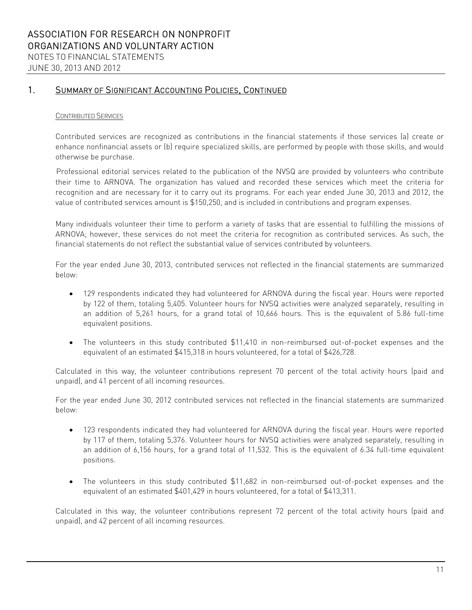### 1. SUMMARY OF SIGNIFICANT ACCOUNTING POLICIES, CONTINUED

#### CONTRIBUTED SERVICES

Contributed services are recognized as contributions in the financial statements if those services (a) create or enhance nonfinancial assets or (b) require specialized skills, are performed by people with those skills, and would otherwise be purchase.

Professional editorial services related to the publication of the NVSQ are provided by volunteers who contribute their time to ARNOVA. The organization has valued and recorded these services which meet the criteria for recognition and are necessary for it to carry out its programs. For each year ended June 30, 2013 and 2012, the value of contributed services amount is \$150,250, and is included in contributions and program expenses.

Many individuals volunteer their time to perform a variety of tasks that are essential to fulfilling the missions of ARNOVA; however, these services do not meet the criteria for recognition as contributed services. As such, the financial statements do not reflect the substantial value of services contributed by volunteers.

For the year ended June 30, 2013, contributed services not reflected in the financial statements are summarized below:

- 129 respondents indicated they had volunteered for ARNOVA during the fiscal year. Hours were reported by 122 of them, totaling 5,405. Volunteer hours for NVSQ activities were analyzed separately, resulting in an addition of 5,261 hours, for a grand total of 10,666 hours. This is the equivalent of 5.86 full-time equivalent positions.
- The volunteers in this study contributed \$11,410 in non-reimbursed out-of-pocket expenses and the equivalent of an estimated \$415,318 in hours volunteered, for a total of \$426,728.

Calculated in this way, the volunteer contributions represent 70 percent of the total activity hours (paid and unpaid), and 41 percent of all incoming resources.

For the year ended June 30, 2012 contributed services not reflected in the financial statements are summarized below:

- 123 respondents indicated they had volunteered for ARNOVA during the fiscal year. Hours were reported by 117 of them, totaling 5,376. Volunteer hours for NVSQ activities were analyzed separately, resulting in an addition of 6,156 hours, for a grand total of 11,532. This is the equivalent of 6.34 full-time equivalent positions.
- The volunteers in this study contributed \$11,682 in non-reimbursed out-of-pocket expenses and the equivalent of an estimated \$401,429 in hours volunteered, for a total of \$413,311.

Calculated in this way, the volunteer contributions represent 72 percent of the total activity hours (paid and unpaid), and 42 percent of all incoming resources.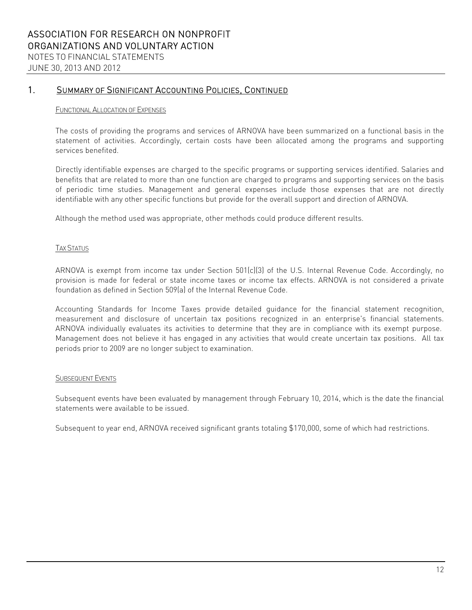# 1. SUMMARY OF SIGNIFICANT ACCOUNTING POLICIES, CONTINUED

#### FUNCTIONAL ALLOCATION OF EXPENSES

The costs of providing the programs and services of ARNOVA have been summarized on a functional basis in the statement of activities. Accordingly, certain costs have been allocated among the programs and supporting services benefited.

Directly identifiable expenses are charged to the specific programs or supporting services identified. Salaries and benefits that are related to more than one function are charged to programs and supporting services on the basis of periodic time studies. Management and general expenses include those expenses that are not directly identifiable with any other specific functions but provide for the overall support and direction of ARNOVA.

Although the method used was appropriate, other methods could produce different results.

#### TAX STATUS

ARNOVA is exempt from income tax under Section 501(c)(3) of the U.S. Internal Revenue Code. Accordingly, no provision is made for federal or state income taxes or income tax effects. ARNOVA is not considered a private foundation as defined in Section 509(a) of the Internal Revenue Code.

Accounting Standards for Income Taxes provide detailed guidance for the financial statement recognition, measurement and disclosure of uncertain tax positions recognized in an enterprise's financial statements. ARNOVA individually evaluates its activities to determine that they are in compliance with its exempt purpose. Management does not believe it has engaged in any activities that would create uncertain tax positions. All tax periods prior to 2009 are no longer subject to examination.

#### SUBSEQUENT EVENTS

Subsequent events have been evaluated by management through February 10, 2014, which is the date the financial statements were available to be issued.

Subsequent to year end, ARNOVA received significant grants totaling \$170,000, some of which had restrictions.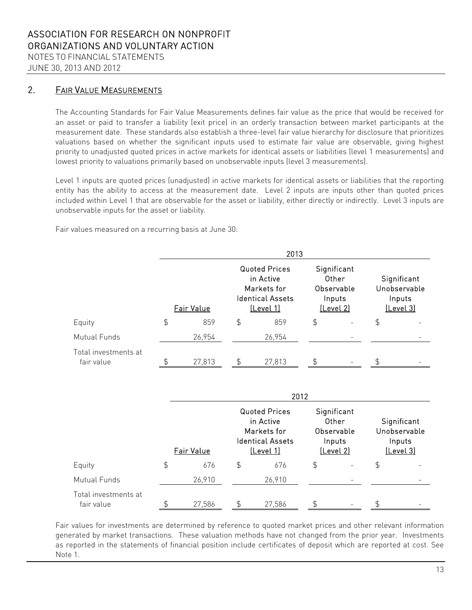NOTES TO FINANCIAL STATEMENTS JUNE 30, 2013 AND 2012

# 2. FAIR VALUE MEASUREMENTS

The Accounting Standards for Fair Value Measurements defines fair value as the price that would be received for an asset or paid to transfer a liability (exit price) in an orderly transaction between market participants at the measurement date. These standards also establish a three-level fair value hierarchy for disclosure that prioritizes valuations based on whether the significant inputs used to estimate fair value are observable, giving highest priority to unadjusted quoted prices in active markets for identical assets or liabilities (level 1 measurements) and lowest priority to valuations primarily based on unobservable inputs (level 3 measurements).

Level 1 inputs are quoted prices (unadjusted) in active markets for identical assets or liabilities that the reporting entity has the ability to access at the measurement date. Level 2 inputs are inputs other than quoted prices included within Level 1 that are observable for the asset or liability, either directly or indirectly. Level 3 inputs are unobservable inputs for the asset or liability.

Fair values measured on a recurring basis at June 30:

|                                    |            | 2013   |               |                                                                                                 |                                                           |                          |                                                           |  |  |  |  |  |
|------------------------------------|------------|--------|---------------|-------------------------------------------------------------------------------------------------|-----------------------------------------------------------|--------------------------|-----------------------------------------------------------|--|--|--|--|--|
|                                    | Fair Value |        |               | <b>Quoted Prices</b><br>in Active<br>Markets for<br><b>Identical Assets</b><br><u>(Level 1)</u> | Significant<br>Other<br>Observable<br>Inputs<br>[Level 2] |                          | Significant<br>Unobservable<br>Inputs<br><u>(Level 3)</u> |  |  |  |  |  |
| Equity                             | \$         | 859    | $\frac{1}{2}$ | 859                                                                                             | \$                                                        | $\overline{\phantom{a}}$ | \$                                                        |  |  |  |  |  |
| Mutual Funds                       |            | 26,954 |               | 26,954                                                                                          |                                                           |                          |                                                           |  |  |  |  |  |
| Total investments at<br>fair value |            | 27,813 |               | 27,813                                                                                          |                                                           |                          |                                                           |  |  |  |  |  |

|                                    | 2012       |    |                                                                                   |    |                                                           |                                                    |  |  |  |  |  |
|------------------------------------|------------|----|-----------------------------------------------------------------------------------|----|-----------------------------------------------------------|----------------------------------------------------|--|--|--|--|--|
|                                    | Fair Value |    | <b>Quoted Prices</b><br>in Active<br>Markets for<br>Identical Assets<br>(Level 1) |    | Significant<br>Other<br>Observable<br>Inputs<br>(Level 2) | Significant<br>Unobservable<br>Inputs<br>(Level 3) |  |  |  |  |  |
| Equity                             | \$<br>676  | \$ | 676                                                                               | \$ | $\overline{\phantom{m}}$                                  | \$                                                 |  |  |  |  |  |
| Mutual Funds                       | 26,910     |    | 26,910                                                                            |    |                                                           |                                                    |  |  |  |  |  |
| Total investments at<br>fair value | 27,586     | \$ | 27,586                                                                            | \$ |                                                           |                                                    |  |  |  |  |  |

Fair values for investments are determined by reference to quoted market prices and other relevant information generated by market transactions. These valuation methods have not changed from the prior year. Investments as reported in the statements of financial position include certificates of deposit which are reported at cost. See Note 1.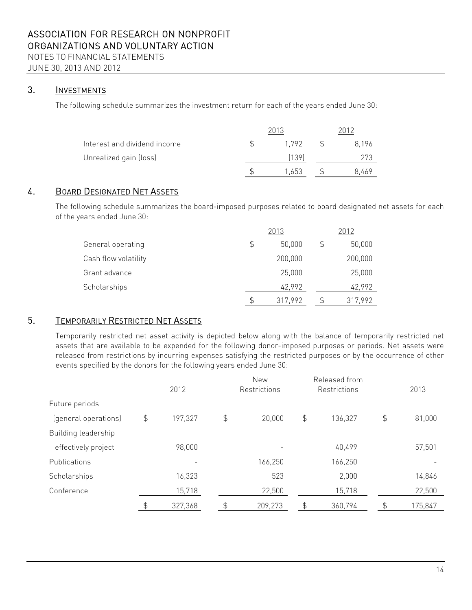NOTES TO FINANCIAL STATEMENTS JUNE 30, 2013 AND 2012

# 3. INVESTMENTS

The following schedule summarizes the investment return for each of the years ended June 30:

| Interest and dividend income |       | 1792  |  | 8.196 |  |
|------------------------------|-------|-------|--|-------|--|
| Unrealized gain (loss)       | [139] |       |  |       |  |
|                              |       | 1,653 |  | 8.469 |  |

### 4. BOARD DESIGNATED NET ASSETS

The following schedule summarizes the board-imposed purposes related to board designated net assets for each of the years ended June 30:

|                      | 2013          | 2012    |  |  |
|----------------------|---------------|---------|--|--|
| General operating    | \$<br>50,000  | 50,000  |  |  |
| Cash flow volatility | 200,000       | 200,000 |  |  |
| Grant advance        | 25,000        | 25,000  |  |  |
| Scholarships         | 42,992        | 42,992  |  |  |
|                      | \$<br>317,992 | 317,992 |  |  |

# 5. TEMPORARILY RESTRICTED NET ASSETS

Temporarily restricted net asset activity is depicted below along with the balance of temporarily restricted net assets that are available to be expended for the following donor-imposed purposes or periods. Net assets were released from restrictions by incurring expenses satisfying the restricted purposes or by the occurrence of other events specified by the donors for the following years ended June 30:

|                      |    | 2012    | <b>New</b><br>Restrictions |         | Released from<br>Restrictions |         | 2013         |
|----------------------|----|---------|----------------------------|---------|-------------------------------|---------|--------------|
| Future periods       |    |         |                            |         |                               |         |              |
| (general operations) | \$ | 197,327 | \$                         | 20,000  | $\frac{4}{5}$                 | 136,327 | \$<br>81,000 |
| Building leadership  |    |         |                            |         |                               |         |              |
| effectively project  |    | 98,000  |                            | -       |                               | 40,499  | 57,501       |
| Publications         |    | -       |                            | 166,250 |                               | 166,250 |              |
| Scholarships         |    | 16,323  |                            | 523     |                               | 2,000   | 14,846       |
| Conference           |    | 15,718  |                            | 22,500  |                               | 15,718  | 22,500       |
|                      | ፍ  | 327,368 |                            | 209,273 | \$                            | 360,794 | 175,847      |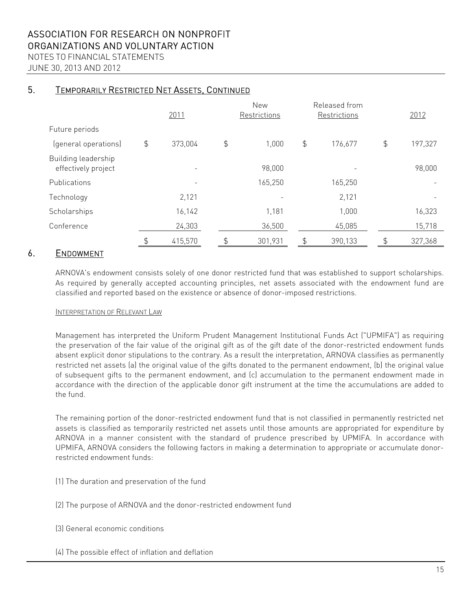NOTES TO FINANCIAL STATEMENTS JUNE 30, 2013 AND 2012

## 5. TEMPORARILY RESTRICTED NET ASSETS, CONTINUED

|                                            |               | 2011                     | <b>New</b><br>Restrictions |         | Released from<br>Restrictions |         |               | 2012    |
|--------------------------------------------|---------------|--------------------------|----------------------------|---------|-------------------------------|---------|---------------|---------|
| Future periods                             |               |                          |                            |         |                               |         |               |         |
| (general operations)                       | $\frac{4}{5}$ | 373,004                  | $\frac{4}{5}$              | 1,000   | \$                            | 176,677 | $\frac{4}{5}$ | 197,327 |
| Building leadership<br>effectively project |               | $\overline{\phantom{a}}$ |                            | 98,000  |                               |         |               | 98,000  |
| Publications                               |               | $\overline{\phantom{a}}$ |                            | 165,250 |                               | 165,250 |               |         |
| Technology                                 |               | 2,121                    |                            | ۰       |                               | 2,121   |               |         |
| Scholarships                               |               | 16,142                   |                            | 1,181   |                               | 1,000   |               | 16,323  |
| Conference                                 |               | 24,303                   |                            | 36,500  |                               | 45,085  |               | 15,718  |
|                                            |               | 415,570                  |                            | 301,931 | \$                            | 390,133 |               | 327,368 |

## 6. ENDOWMENT

ARNOVA's endowment consists solely of one donor restricted fund that was established to support scholarships. As required by generally accepted accounting principles, net assets associated with the endowment fund are classified and reported based on the existence or absence of donor-imposed restrictions.

### INTERPRETATION OF RELEVANT LAW

Management has interpreted the Uniform Prudent Management Institutional Funds Act ("UPMIFA") as requiring the preservation of the fair value of the original gift as of the gift date of the donor-restricted endowment funds absent explicit donor stipulations to the contrary. As a result the interpretation, ARNOVA classifies as permanently restricted net assets (a) the original value of the gifts donated to the permanent endowment, (b) the original value of subsequent gifts to the permanent endowment, and (c) accumulation to the permanent endowment made in accordance with the direction of the applicable donor gift instrument at the time the accumulations are added to the fund.

The remaining portion of the donor-restricted endowment fund that is not classified in permanently restricted net assets is classified as temporarily restricted net assets until those amounts are appropriated for expenditure by ARNOVA in a manner consistent with the standard of prudence prescribed by UPMIFA. In accordance with UPMIFA, ARNOVA considers the following factors in making a determination to appropriate or accumulate donorrestricted endowment funds:

- (1) The duration and preservation of the fund
- (2) The purpose of ARNOVA and the donor-restricted endowment fund
- (3) General economic conditions
- (4) The possible effect of inflation and deflation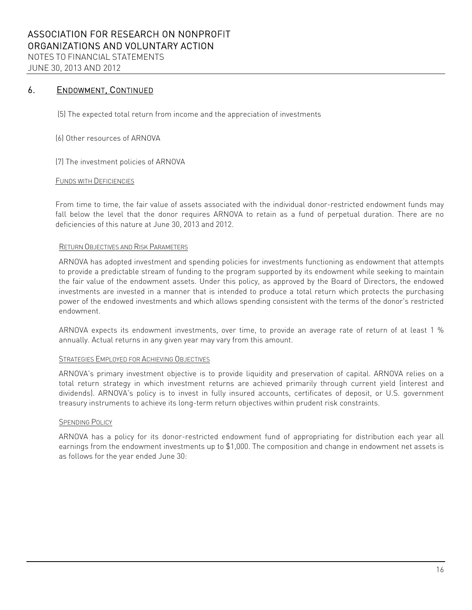NOTES TO FINANCIAL STATEMENTS JUNE 30, 2013 AND 2012

### 6. ENDOWMENT, CONTINUED

(5) The expected total return from income and the appreciation of investments

- (6) Other resources of ARNOVA
- (7) The investment policies of ARNOVA

### FUNDS WITH DEFICIENCIES

From time to time, the fair value of assets associated with the individual donor-restricted endowment funds may fall below the level that the donor requires ARNOVA to retain as a fund of perpetual duration. There are no deficiencies of this nature at June 30, 2013 and 2012.

#### RETURN OBJECTIVES AND RISK PARAMETERS

ARNOVA has adopted investment and spending policies for investments functioning as endowment that attempts to provide a predictable stream of funding to the program supported by its endowment while seeking to maintain the fair value of the endowment assets. Under this policy, as approved by the Board of Directors, the endowed investments are invested in a manner that is intended to produce a total return which protects the purchasing power of the endowed investments and which allows spending consistent with the terms of the donor's restricted endowment.

ARNOVA expects its endowment investments, over time, to provide an average rate of return of at least 1 % annually. Actual returns in any given year may vary from this amount.

### STRATEGIES EMPLOYED FOR ACHIEVING OBJECTIVES

ARNOVA's primary investment objective is to provide liquidity and preservation of capital. ARNOVA relies on a total return strategy in which investment returns are achieved primarily through current yield (interest and dividends). ARNOVA's policy is to invest in fully insured accounts, certificates of deposit, or U.S. government treasury instruments to achieve its long-term return objectives within prudent risk constraints.

### SPENDING POLICY

ARNOVA has a policy for its donor-restricted endowment fund of appropriating for distribution each year all earnings from the endowment investments up to \$1,000. The composition and change in endowment net assets is as follows for the year ended June 30: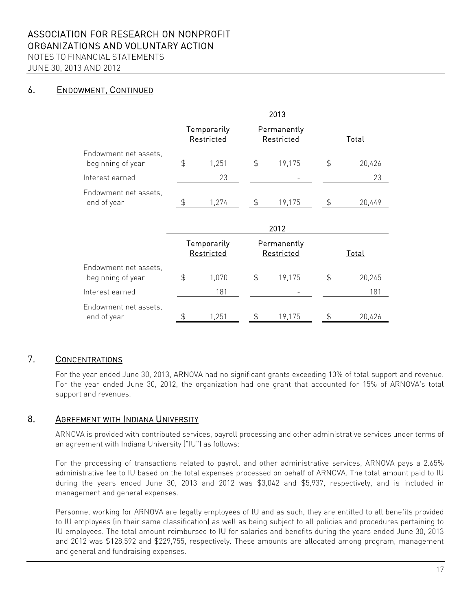NOTES TO FINANCIAL STATEMENTS JUNE 30, 2013 AND 2012

# 6. ENDOWMENT, CONTINUED

|                                            | 2013                      |       |    |                           |              |        |  |  |  |
|--------------------------------------------|---------------------------|-------|----|---------------------------|--------------|--------|--|--|--|
|                                            | Temporarily<br>Restricted |       |    | Permanently<br>Restricted | <b>Total</b> |        |  |  |  |
| Endowment net assets,<br>beginning of year | \$                        | 1,251 | \$ | 19,175                    | \$           | 20,426 |  |  |  |
| Interest earned                            |                           | 23    |    |                           |              | 23     |  |  |  |
| Endowment net assets,<br>end of year       | $\frac{1}{2}$             | 1,274 | \$ | 19,175                    | \$           | 20,449 |  |  |  |
|                                            |                           |       |    |                           |              |        |  |  |  |
|                                            | Temporarily<br>Restricted |       |    | Permanently<br>Restricted | Total        |        |  |  |  |
| Endowment net assets,<br>beginning of year | \$                        | 1,070 | \$ | 19,175                    | \$           | 20,245 |  |  |  |
| Interest earned                            |                           | 181   |    |                           |              | 181    |  |  |  |
| Endowment net assets,<br>end of year       | \$                        | 1,251 | \$ | 19,175                    | \$           | 20,426 |  |  |  |

# 7. CONCENTRATIONS

For the year ended June 30, 2013, ARNOVA had no significant grants exceeding 10% of total support and revenue. For the year ended June 30, 2012, the organization had one grant that accounted for 15% of ARNOVA's total support and revenues.

### 8. AGREEMENT WITH INDIANA UNIVERSITY

ARNOVA is provided with contributed services, payroll processing and other administrative services under terms of an agreement with Indiana University ("IU") as follows:

For the processing of transactions related to payroll and other administrative services, ARNOVA pays a 2.65% administrative fee to IU based on the total expenses processed on behalf of ARNOVA. The total amount paid to IU during the years ended June 30, 2013 and 2012 was \$3,042 and \$5,937, respectively, and is included in management and general expenses.

Personnel working for ARNOVA are legally employees of lU and as such, they are entitled to all benefits provided to IU employees (in their same classification) as well as being subject to all policies and procedures pertaining to IU employees. The total amount reimbursed to IU for salaries and benefits during the years ended June 30, 2013 and 2012 was \$128,592 and \$229,755, respectively. These amounts are allocated among program, management and general and fundraising expenses.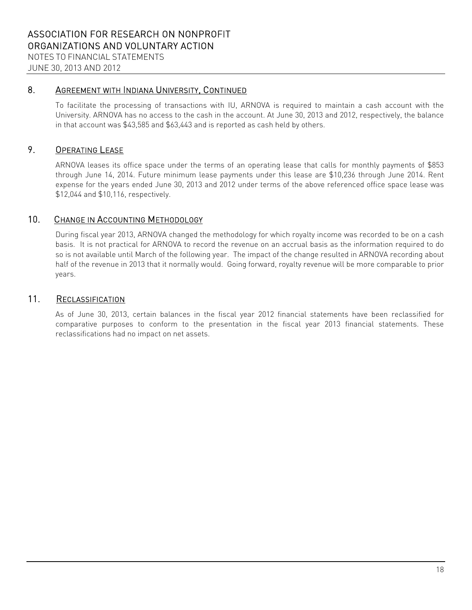NOTES TO FINANCIAL STATEMENTS JUNE 30, 2013 AND 2012

# 8. AGREEMENT WITH INDIANA UNIVERSITY, CONTINUED

To facilitate the processing of transactions with IU, ARNOVA is required to maintain a cash account with the University. ARNOVA has no access to the cash in the account. At June 30, 2013 and 2012, respectively, the balance in that account was \$43,585 and \$63,443 and is reported as cash held by others.

### 9. OPERATING LEASE

ARNOVA leases its office space under the terms of an operating lease that calls for monthly payments of \$853 through June 14, 2014. Future minimum lease payments under this lease are \$10,236 through June 2014. Rent expense for the years ended June 30, 2013 and 2012 under terms of the above referenced office space lease was \$12,044 and \$10,116, respectively.

### 10. CHANGE IN ACCOUNTING METHODOLOGY

During fiscal year 2013, ARNOVA changed the methodology for which royalty income was recorded to be on a cash basis. It is not practical for ARNOVA to record the revenue on an accrual basis as the information required to do so is not available until March of the following year. The impact of the change resulted in ARNOVA recording about half of the revenue in 2013 that it normally would. Going forward, royalty revenue will be more comparable to prior years.

### 11. RECLASSIFICATION

As of June 30, 2013, certain balances in the fiscal year 2012 financial statements have been reclassified for comparative purposes to conform to the presentation in the fiscal year 2013 financial statements. These reclassifications had no impact on net assets.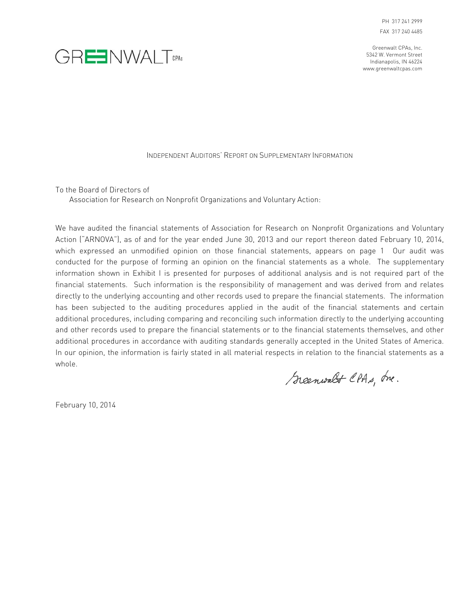PH 317 241 2999 FAX 317 240 4485

Greenwalt CPAs, Inc. 5342 W. Vermont Street Indianapolis, IN 46224 www.greenwaltcpas.com



INDEPENDENT AUDITORS' REPORT ON SUPPLEMENTARY INFORMATION

To the Board of Directors of

Association for Research on Nonprofit Organizations and Voluntary Action:

We have audited the financial statements of Association for Research on Nonprofit Organizations and Voluntary Action ("ARNOVA"), as of and for the year ended June 30, 2013 and our report thereon dated February 10, 2014, which expressed an unmodified opinion on those financial statements, appears on page 1 Our audit was conducted for the purpose of forming an opinion on the financial statements as a whole. The supplementary information shown in Exhibit I is presented for purposes of additional analysis and is not required part of the financial statements. Such information is the responsibility of management and was derived from and relates directly to the underlying accounting and other records used to prepare the financial statements. The information has been subjected to the auditing procedures applied in the audit of the financial statements and certain additional procedures, including comparing and reconciling such information directly to the underlying accounting and other records used to prepare the financial statements or to the financial statements themselves, and other additional procedures in accordance with auditing standards generally accepted in the United States of America. In our opinion, the information is fairly stated in all material respects in relation to the financial statements as a whole.

Greenwalt CPAs, Inc.

February 10, 2014